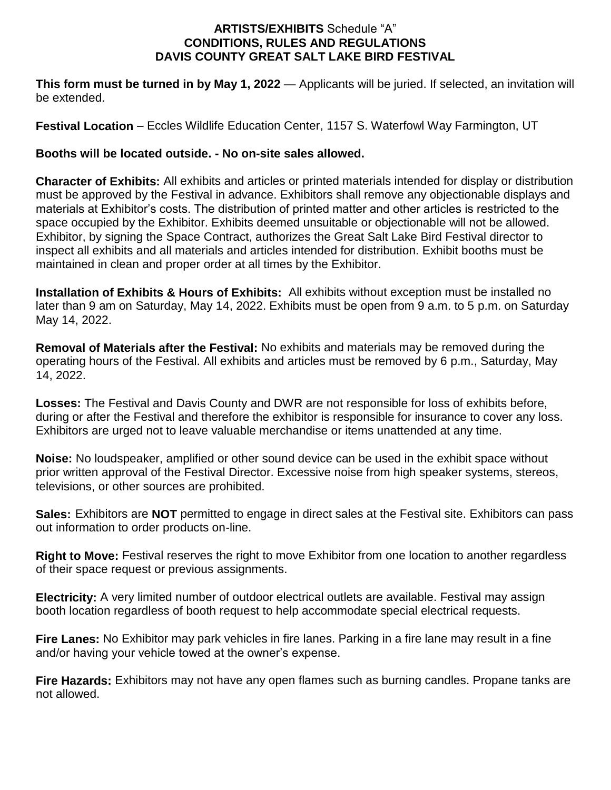## **ARTISTS/EXHIBITS** Schedule "A" **CONDITIONS, RULES AND REGULATIONS DAVIS COUNTY GREAT SALT LAKE BIRD FESTIVAL**

**This form must be turned in by May 1, 2022** — Applicants will be juried. If selected, an invitation will be extended.

**Festival Location** – Eccles Wildlife Education Center, 1157 S. Waterfowl Way Farmington, UT

## **Booths will be located outside. - No on-site sales allowed.**

**Character of Exhibits:** All exhibits and articles or printed materials intended for display or distribution must be approved by the Festival in advance. Exhibitors shall remove any objectionable displays and materials at Exhibitor's costs. The distribution of printed matter and other articles is restricted to the space occupied by the Exhibitor. Exhibits deemed unsuitable or objectionable will not be allowed. Exhibitor, by signing the Space Contract, authorizes the Great Salt Lake Bird Festival director to inspect all exhibits and all materials and articles intended for distribution. Exhibit booths must be maintained in clean and proper order at all times by the Exhibitor.

**Installation of Exhibits & Hours of Exhibits:** All exhibits without exception must be installed no later than 9 am on Saturday, May 14, 2022. Exhibits must be open from 9 a.m. to 5 p.m. on Saturday May 14, 2022.

**Removal of Materials after the Festival:** No exhibits and materials may be removed during the operating hours of the Festival. All exhibits and articles must be removed by 6 p.m., Saturday, May 14, 2022.

**Losses:** The Festival and Davis County and DWR are not responsible for loss of exhibits before, during or after the Festival and therefore the exhibitor is responsible for insurance to cover any loss. Exhibitors are urged not to leave valuable merchandise or items unattended at any time.

**Noise:** No loudspeaker, amplified or other sound device can be used in the exhibit space without prior written approval of the Festival Director. Excessive noise from high speaker systems, stereos, televisions, or other sources are prohibited.

**Sales:** Exhibitors are **NOT** permitted to engage in direct sales at the Festival site. Exhibitors can pass out information to order products on-line.

**Right to Move:** Festival reserves the right to move Exhibitor from one location to another regardless of their space request or previous assignments.

**Electricity:** A very limited number of outdoor electrical outlets are available. Festival may assign booth location regardless of booth request to help accommodate special electrical requests.

**Fire Lanes:** No Exhibitor may park vehicles in fire lanes. Parking in a fire lane may result in a fine and/or having your vehicle towed at the owner's expense.

**Fire Hazards:** Exhibitors may not have any open flames such as burning candles. Propane tanks are not allowed.